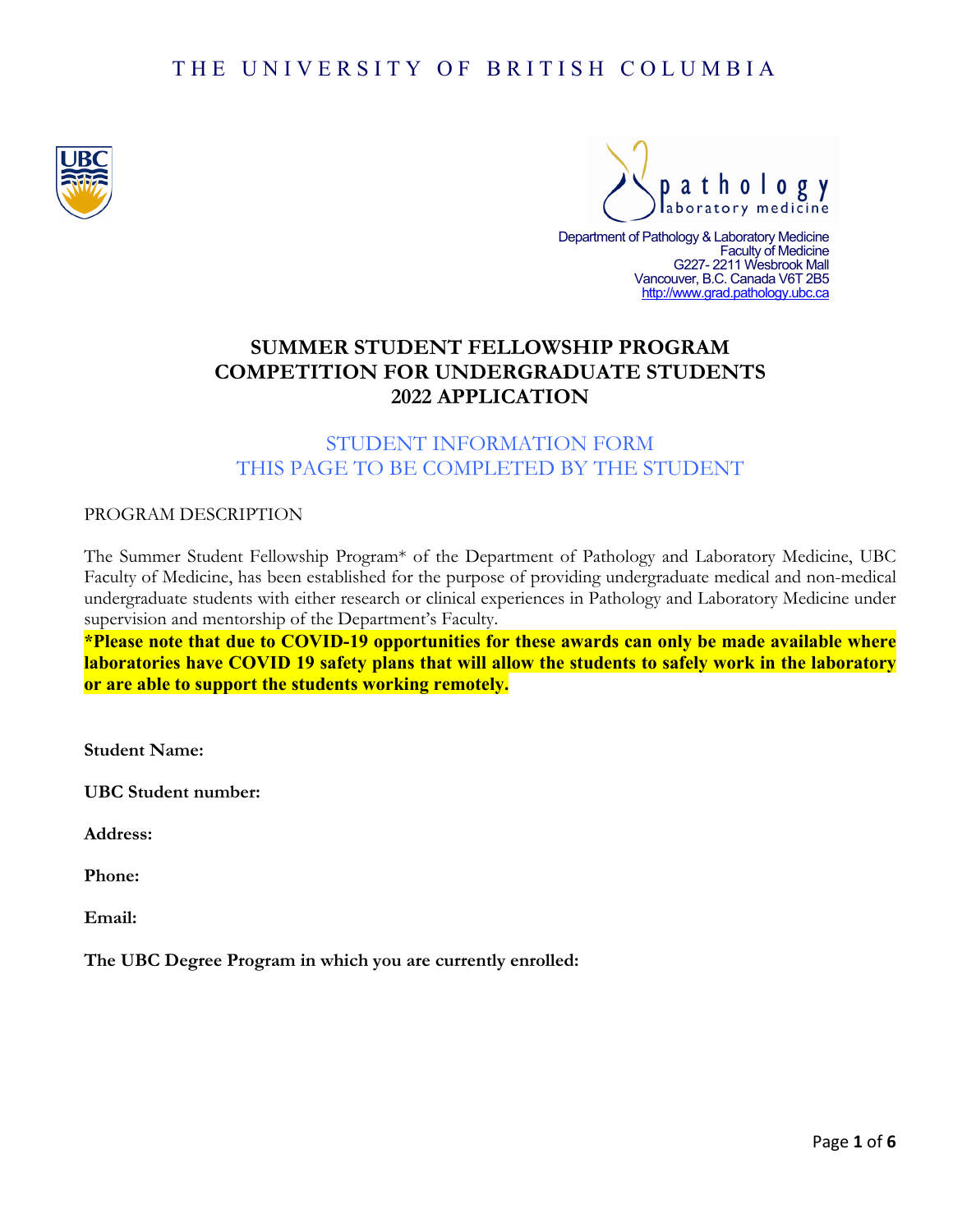# THE UNIVERSITY OF BRITISH COLUMBIA





Department of Pathology & Laboratory Medicine Faculty of Medicine G227- 2211 Wesbrook Mall Vancouver, B.C. Canada V6T 2B5  [http://www.grad.pathology.ubc.ca](http://www.grad.pathology.ubc.ca/)

# **SUMMER STUDENT FELLOWSHIP PROGRAM COMPETITION FOR UNDERGRADUATE STUDENTS 2022 APPLICATION**

## STUDENT INFORMATION FORM THIS PAGE TO BE COMPLETED BY THE STUDENT

PROGRAM DESCRIPTION

The Summer Student Fellowship Program\* of the Department of Pathology and Laboratory Medicine, UBC Faculty of Medicine, has been established for the purpose of providing undergraduate medical and non-medical undergraduate students with either research or clinical experiences in Pathology and Laboratory Medicine under supervision and mentorship of the Department's Faculty.

**\*Please note that due to COVID-19 opportunities for these awards can only be made available where laboratories have COVID 19 safety plans that will allow the students to safely work in the laboratory or are able to support the students working remotely.**

**Student Name:**

**UBC Student number:**

**Address:**

**Phone:**

**Email:**

**The UBC Degree Program in which you are currently enrolled:**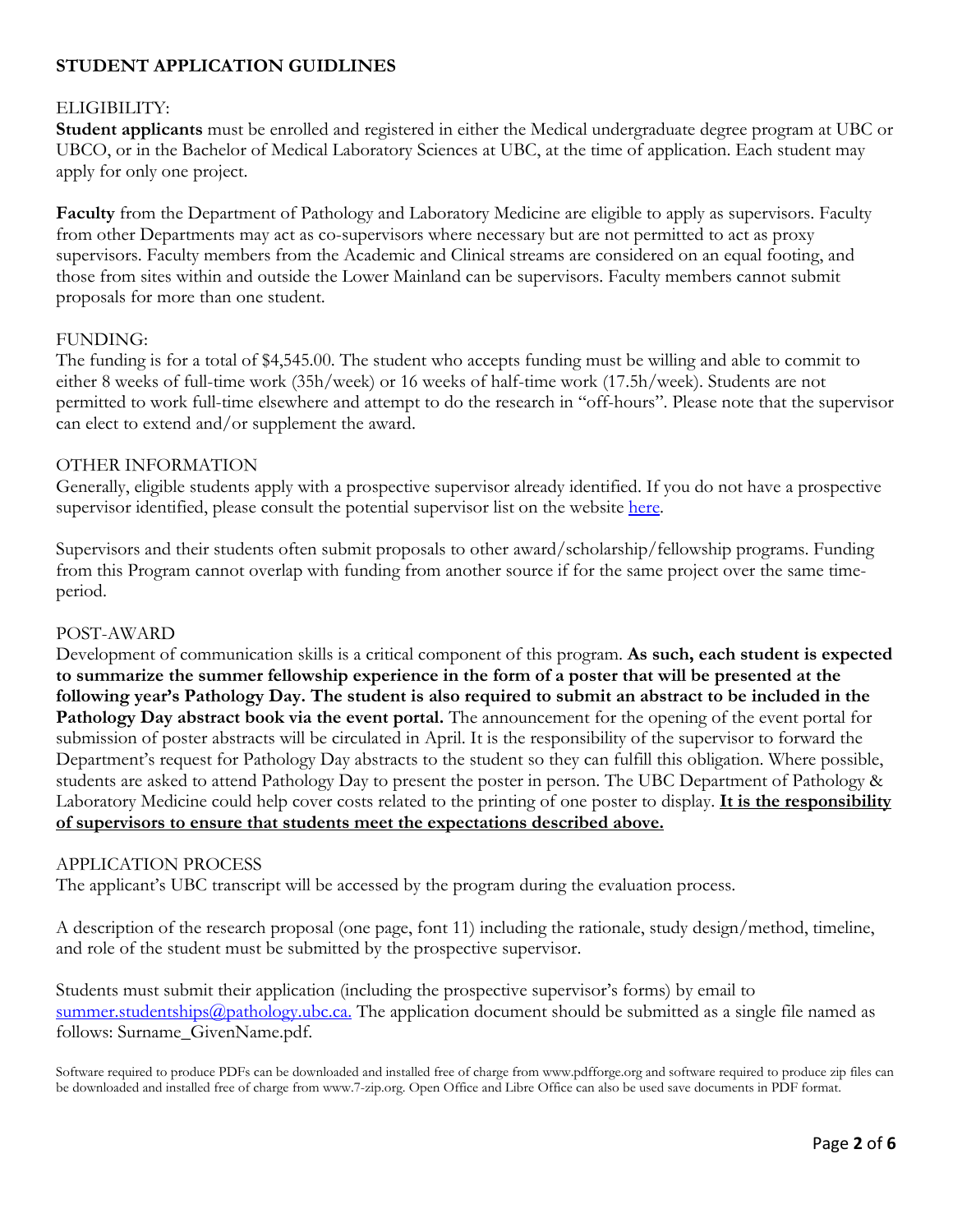## **STUDENT APPLICATION GUIDLINES**

## ELIGIBILITY:

**Student applicants** must be enrolled and registered in either the Medical undergraduate degree program at UBC or UBCO, or in the Bachelor of Medical Laboratory Sciences at UBC, at the time of application. Each student may apply for only one project.

**Faculty** from the Department of Pathology and Laboratory Medicine are eligible to apply as supervisors. Faculty from other Departments may act as co-supervisors where necessary but are not permitted to act as proxy supervisors. Faculty members from the Academic and Clinical streams are considered on an equal footing, and those from sites within and outside the Lower Mainland can be supervisors. Faculty members cannot submit proposals for more than one student.

### FUNDING:

The funding is for a total of \$4,545.00. The student who accepts funding must be willing and able to commit to either 8 weeks of full-time work (35h/week) or 16 weeks of half-time work (17.5h/week). Students are not permitted to work full-time elsewhere and attempt to do the research in "off-hours". Please note that the supervisor can elect to extend and/or supplement the award.

### OTHER INFORMATION

Generally, eligible students apply with a prospective supervisor already identified. If you do not have a prospective supervisor identified, please consult the potential supervisor list on the website [here.](https://pathology.ubc.ca/education-resource/summer-student-fellowship-program/)

Supervisors and their students often submit proposals to other award/scholarship/fellowship programs. Funding from this Program cannot overlap with funding from another source if for the same project over the same timeperiod.

## POST-AWARD

Development of communication skills is a critical component of this program. **As such, each student is expected to summarize the summer fellowship experience in the form of a poster that will be presented at the following year's Pathology Day. The student is also required to submit an abstract to be included in the Pathology Day abstract book via the event portal.** The announcement for the opening of the event portal for submission of poster abstracts will be circulated in April. It is the responsibility of the supervisor to forward the Department's request for Pathology Day abstracts to the student so they can fulfill this obligation. Where possible, students are asked to attend Pathology Day to present the poster in person. The UBC Department of Pathology & Laboratory Medicine could help cover costs related to the printing of one poster to display. **It is the responsibility of supervisors to ensure that students meet the expectations described above.**

### APPLICATION PROCESS

The applicant's UBC transcript will be accessed by the program during the evaluation process.

A description of the research proposal (one page, font 11) including the rationale, study design/method, timeline, and role of the student must be submitted by the prospective supervisor.

Students must submit their application (including the prospective supervisor's forms) by email to [summer.studentships@pathology.ubc.ca.](mailto:summer.studentships@pathology.ubc.ca) The application document should be submitted as a single file named as follows: Surname\_GivenName.pdf.

Software required to produce PDFs can be downloaded and installed free of charge from www.pdfforge.org and software required to produce zip files can be downloaded and installed free of charge from www.7-zip.org. Open Office and Libre Office can also be used save documents in PDF format.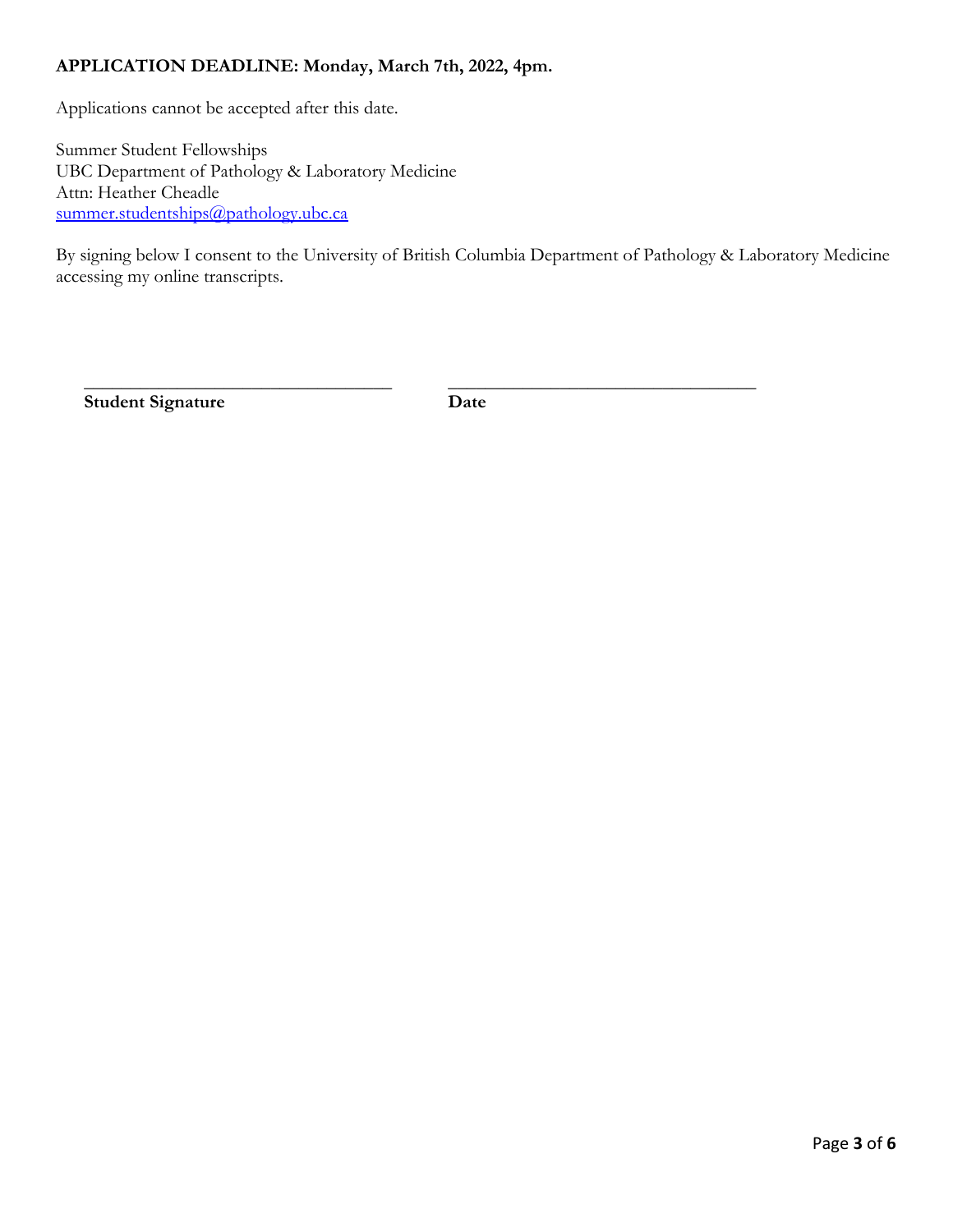## **APPLICATION DEADLINE: Monday, March 7th, 2022, 4pm.**

Applications cannot be accepted after this date.

Summer Student Fellowships UBC Department of Pathology & Laboratory Medicine Attn: Heather Cheadle [summer.studentships@pathology.ubc.ca](mailto:summer.studentships@pathology.ubc.ca)

By signing below I consent to the University of British Columbia Department of Pathology & Laboratory Medicine accessing my online transcripts.

**Student Signature Date**

 $\overline{\phantom{a}}$  , and the contract of the contract of the contract of the contract of the contract of the contract of the contract of the contract of the contract of the contract of the contract of the contract of the contrac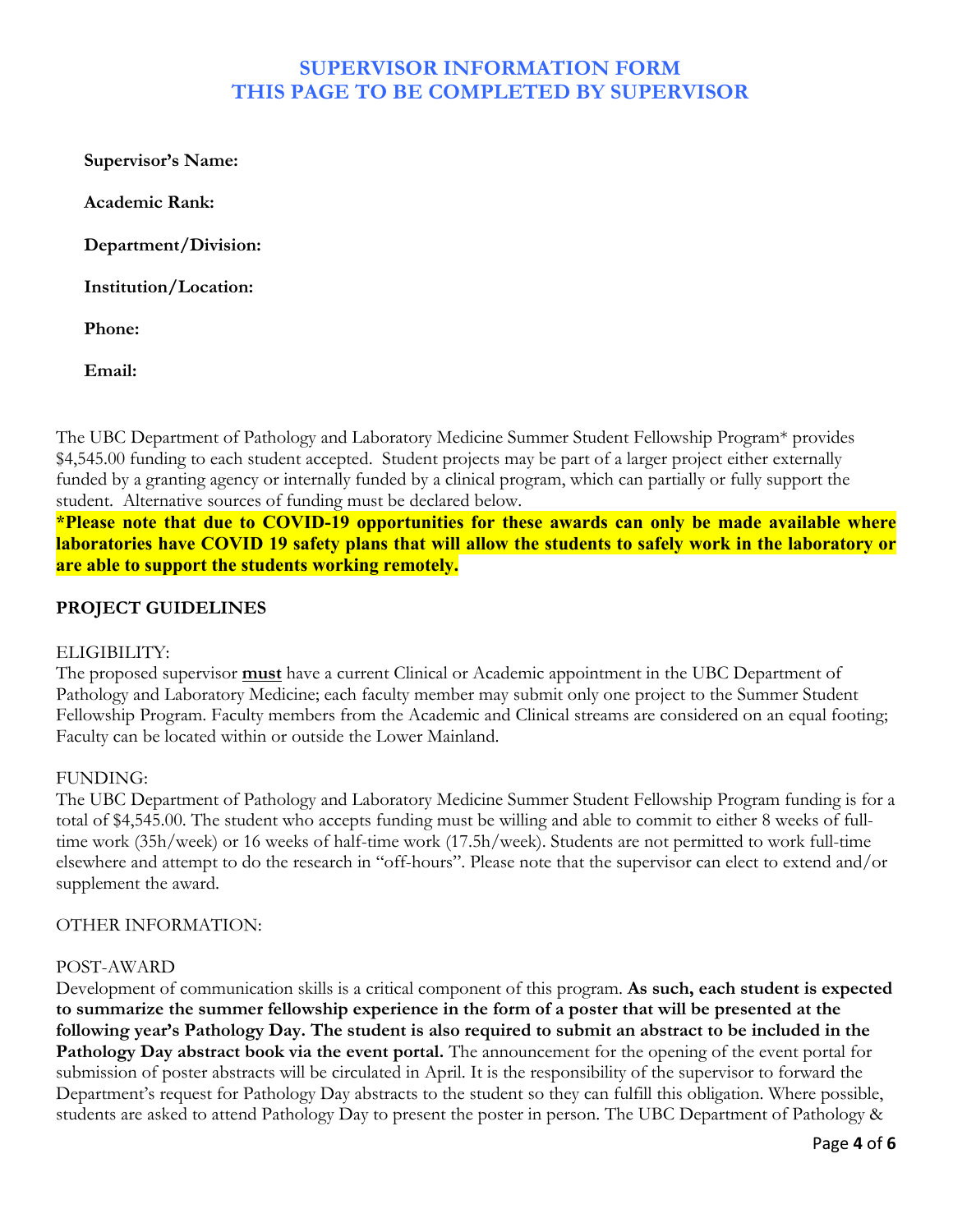# **SUPERVISOR INFORMATION FORM THIS PAGE TO BE COMPLETED BY SUPERVISOR**

**Supervisor's Name:**

**Academic Rank:**

**Department/Division:**

**Institution/Location:**

**Phone:**

**Email:**

The UBC Department of Pathology and Laboratory Medicine Summer Student Fellowship Program\* provides \$4,545.00 funding to each student accepted. Student projects may be part of a larger project either externally funded by a granting agency or internally funded by a clinical program, which can partially or fully support the student. Alternative sources of funding must be declared below.

**\*Please note that due to COVID-19 opportunities for these awards can only be made available where laboratories have COVID 19 safety plans that will allow the students to safely work in the laboratory or are able to support the students working remotely.**

## **PROJECT GUIDELINES**

## ELIGIBILITY:

The proposed supervisor **must** have a current Clinical or Academic appointment in the UBC Department of Pathology and Laboratory Medicine; each faculty member may submit only one project to the Summer Student Fellowship Program. Faculty members from the Academic and Clinical streams are considered on an equal footing; Faculty can be located within or outside the Lower Mainland.

## FUNDING:

The UBC Department of Pathology and Laboratory Medicine Summer Student Fellowship Program funding is for a total of \$4,545.00. The student who accepts funding must be willing and able to commit to either 8 weeks of fulltime work (35h/week) or 16 weeks of half-time work (17.5h/week). Students are not permitted to work full-time elsewhere and attempt to do the research in "off-hours". Please note that the supervisor can elect to extend and/or supplement the award.

### OTHER INFORMATION:

### POST-AWARD

Development of communication skills is a critical component of this program. **As such, each student is expected to summarize the summer fellowship experience in the form of a poster that will be presented at the following year's Pathology Day. The student is also required to submit an abstract to be included in the Pathology Day abstract book via the event portal.** The announcement for the opening of the event portal for submission of poster abstracts will be circulated in April. It is the responsibility of the supervisor to forward the Department's request for Pathology Day abstracts to the student so they can fulfill this obligation. Where possible, students are asked to attend Pathology Day to present the poster in person. The UBC Department of Pathology &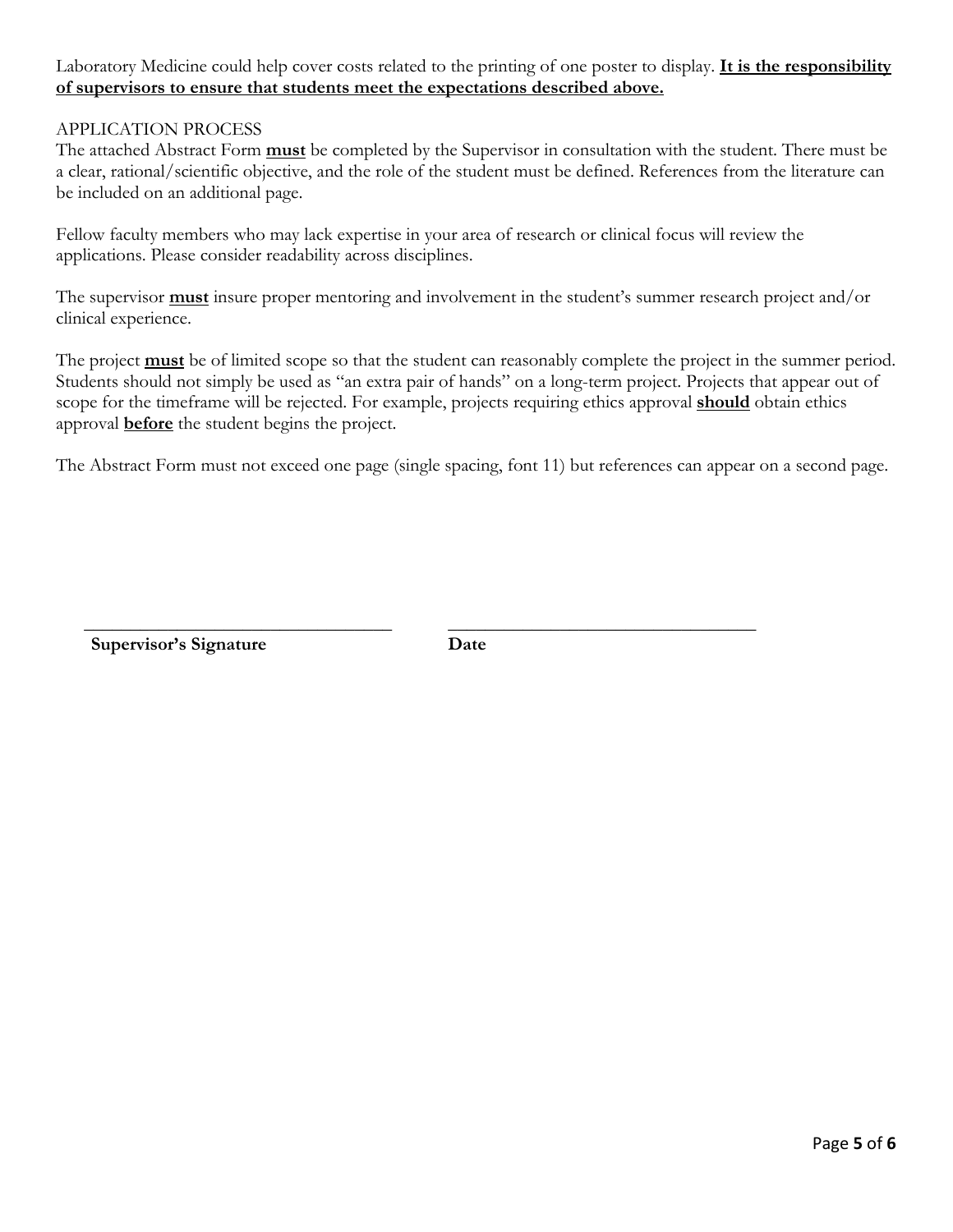Laboratory Medicine could help cover costs related to the printing of one poster to display. **It is the responsibility of supervisors to ensure that students meet the expectations described above.**

## APPLICATION PROCESS

The attached Abstract Form **must** be completed by the Supervisor in consultation with the student. There must be a clear, rational/scientific objective, and the role of the student must be defined. References from the literature can be included on an additional page.

Fellow faculty members who may lack expertise in your area of research or clinical focus will review the applications. Please consider readability across disciplines.

The supervisor **must** insure proper mentoring and involvement in the student's summer research project and/or clinical experience.

The project **must** be of limited scope so that the student can reasonably complete the project in the summer period. Students should not simply be used as "an extra pair of hands" on a long-term project. Projects that appear out of scope for the timeframe will be rejected. For example, projects requiring ethics approval **should** obtain ethics approval **before** the student begins the project.

The Abstract Form must not exceed one page (single spacing, font 11) but references can appear on a second page.

**Supervisor's Signature Date**

 $\overline{\phantom{a}}$  , and the contract of the contract of the contract of the contract of the contract of the contract of the contract of the contract of the contract of the contract of the contract of the contract of the contrac